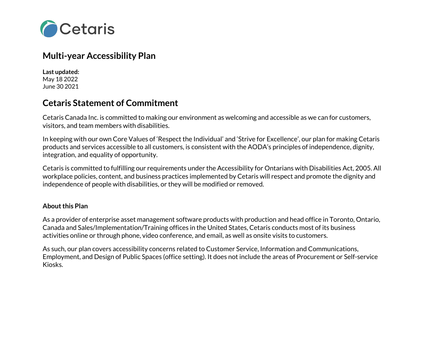

# **Multi-year Accessibility Plan**

**Last updated:** May 18 2022 June 30 2021

## **Cetaris Statement of Commitment**

Cetaris Canada Inc. is committed to making our environment as welcoming and accessible as we can for customers, visitors, and team members with disabilities.

In keeping with our own Core Values of 'Respect the Individual' and 'Strive for Excellence', our plan for making Cetaris products and services accessible to all customers, is consistent with the AODA's principles of independence, dignity, integration, and equality of opportunity.

Cetaris is committed to fulfilling our requirements under the Accessibility for Ontarians with Disabilities Act, 2005. All workplace policies, content, and business practices implemented by Cetaris will respect and promote the dignity and independence of people with disabilities, or they will be modified or removed.

### **About this Plan**

As a provider of enterprise asset management software products with production and head office in Toronto, Ontario, Canada and Sales/Implementation/Training offices in the United States, Cetaris conducts most of its business activities online or through phone, video conference, and email, as well as onsite visits to customers.

As such, our plan covers accessibility concerns related to Customer Service, Information and Communications, Employment, and Design of Public Spaces (office setting). It does not include the areas of Procurement or Self-service Kiosks.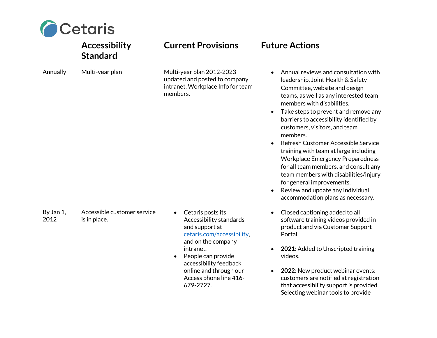

# **Accessibility Standard Current Provisions Future Actions** Annually Multi-year plan Multi-year plan 2012-2023 updated and posted to company intranet, Workplace Info for team members.

By Jan 1, 2012 Accessible customer service is in place.

- Cetaris posts its Accessibility standards and support at cetaris.com/accessibility, and on the company intranet.
- People can provide accessibility feedback online and through our Access phone line 416- 679-2727.

- Annual reviews and consultation with leadership, Joint Health & Safety Committee, website and design teams, as well as any interested team members with disabilities.
- Take steps to prevent and remove any barriers to accessibility identified by customers, visitors, and team members.
- Refresh Customer Accessible Service training with team at large including Workplace Emergency Preparedness for all team members, and consult any team members with disabilities/injury for general improvements.
- Review and update any individual accommodation plans as necessary.
- Closed captioning added to all software training videos provided inproduct and via Customer Support Portal.
- **2021**: Added to Unscripted training videos.
- **2022**: New product webinar events: customers are notified at registration that accessibility support is provided. Selecting webinar tools to provide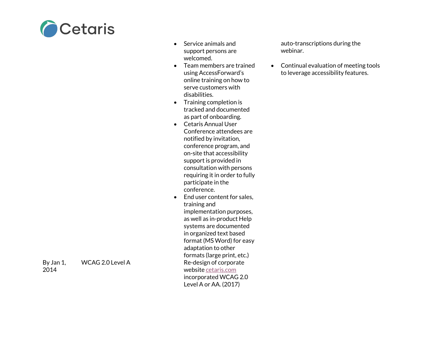

- Service animals and support persons are welcomed .
- Team members are trained using AccessForward's online training on how to serve customers with disabilities .
- Training completion is tracked and documented as part of onboarding.
- Cetaris Annual User Conference attendees are notified by invitation, conference program, and on -site that accessibility support is provided in consultation with persons requiring it in order to fully participate in the conference.
- End user content for sales, training and implementation purposes, as well as in -product Help systems are documented in organized text based format (MS Word) for easy adaptation to other formats (large print, etc.) Re-design of corporate website cetaris.com incorporated WCAG 2.0 Level A or AA. (2017)

auto -transcriptions during the webinar.

• Continual evaluation of meeting tools to leverage accessibility features.

- By Jan 1, 2014
- WCAG 2.0 Level A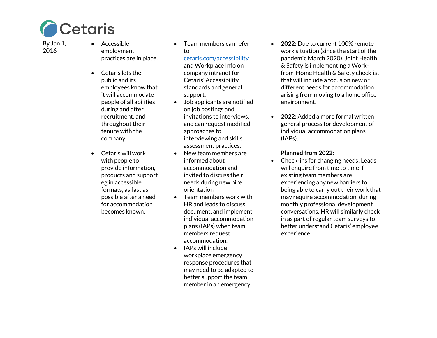

By Jan 1, 2016

- Accessible employment practices are in place.
- Cetaris lets the public and its employees know that it will accommodate people of all abilities during and after recruitment, and throughout their tenure with the company.
- Cetaris will work with people to provide information, products and support eg in accessible formats, as fast as possible after a need for accommodation becomes known.

• Team members can refer to

### cetaris.com/accessibility

and Workplace Info on company intranet for Cetaris' Accessibility standards and general support.

- Job applicants are notified on job postings and invitations to interviews, and can request modified approaches to interviewing and skills assessment practices.
- New team members are informed about accommodation and invited to discuss their needs during new hire orientation
- Team members work with HR and leads to discuss, document, and implement individual accommodation plans (IAPs) when team members request accommodation .
- IAPs will include workplace emergency response procedures that may need to be adapted to better support the team member in an emergency.
- **2022:** Due to current 100% remote work situation (since the start of the pandemic March 2020), Joint Health & Safety is implementing a Work from -Home Health & Safety checklist that will include a focus on new or different needs for accommodation arising from moving to a home office environment.
- **2022**: Added a more formal written general process for development of individual accommodation plans (IAPs).

### **Planned from 2022**:

• Check -ins for changing needs: Leads will enquire from time to time if existing team members are experiencing any new barriers to being able to carry out their work that may require accommodation, during monthly professional development conversations. HR will similarly check in as part of regular team surveys to better understand Cetaris' employee experience.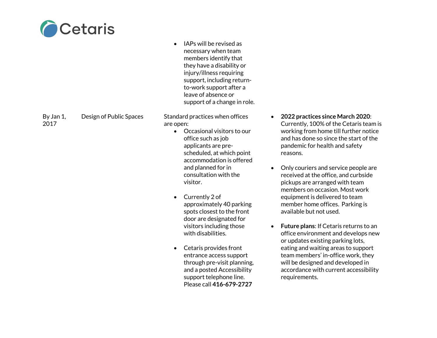

|                   |                         | IAPs will be revised as<br>necessary when team<br>members identify that<br>they have a disability or<br>injury/illness requiring<br>support, including return-<br>to-work support after a<br>leave of absence or<br>support of a change in role. |                                                                             |
|-------------------|-------------------------|--------------------------------------------------------------------------------------------------------------------------------------------------------------------------------------------------------------------------------------------------|-----------------------------------------------------------------------------|
| By Jan 1,<br>2017 | Design of Public Spaces | Standard practices when offices<br>are open:<br>Occasional visitors to our<br>$\bullet$                                                                                                                                                          | 2022 practic<br>Currently, 10<br>working fron                               |
|                   |                         | office such as job<br>applicants are pre-<br>scheduled, at which point<br>accommodation is offered                                                                                                                                               | and has done<br>pandemic for<br>reasons.                                    |
|                   |                         | and planned for in<br>consultation with the<br>visitor.                                                                                                                                                                                          | Only courier<br>$\bullet$<br>received at tl<br>pickups are a<br>members on  |
|                   |                         | Currently 2 of<br>$\bullet$<br>approximately 40 parking<br>spots closest to the front<br>door are designated for                                                                                                                                 | equipment is<br>member hon<br>available but                                 |
|                   |                         | visitors including those<br>with disabilities.                                                                                                                                                                                                   | <b>Future plans</b><br>office enviro<br>or updates ex                       |
|                   |                         | Cetaris provides front<br>entrance access support<br>through pre-visit planning,<br>and a posted Accessibility<br>support telephone line.                                                                                                        | eating and w<br>team membe<br>will be design<br>accordance y<br>requirement |
|                   |                         | Please call 416-679-2727                                                                                                                                                                                                                         |                                                                             |

- **2022 practices since March 2020**: 00% of the Cetaris team is m home till further notice e so since the start of the r health and safety
- s and service people are he office, and curbside arranged with team occasion. Most work delivered to team ne offices. Parking is  $\mathop{\mathsf{not}}$  used.
- **Future plans**: If Cetaris returns to an onment and develops new xisting parking lots, vaiting areas to support ers' in-office work, they ned and developed in with current accessibility requirements.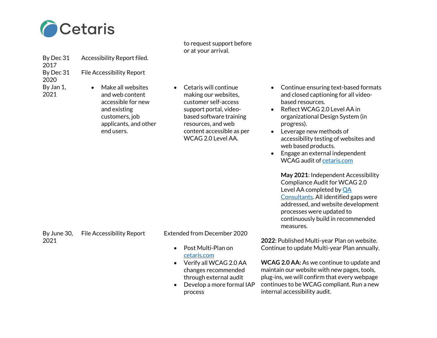

to request support before or at your arrival.

By Dec 31 Accessibility Report filed.

By Dec 31 File Accessibility Report

2020 By Jan 1, 2021

2017

• Make all websites and web content accessible for new and existing customers, job applicants, and other end users.

• Cetaris will continue making our websites, customer self-access support portal, videobased software training resources, and web content accessible as per WCAG 2.0 Level AA.

- Continue ensuring text-based formats and closed captioning for all videobased resources.
- Reflect WCAG 2.0 Level AA in organizational Design System (in progress).
- Leverage new methods of accessibility testing of websites and web based products.
- Engage an external independent WCAG audit of cetaris.com

**May 2021**: Independent Accessibility Compliance Audit for WCAG 2.0 Level AA completed by QA Consultants. All identified gaps were addressed, and website development processes were updated to continuously build in recommended measures.

By June 30, 2021

File Accessibility Report Extended from December 2020

- Post Multi-Plan on cetaris.com
- Verify all WCAG 2.0 AA changes recommended through external audit
- Develop a more formal IAP process

**2022**: Published Multi-year Plan on website. Continue to update Multi-year Plan annually.

**WCAG 2.0 AA:** As we continue to update and maintain our website with new pages, tools, plug-ins, we will confirm that every webpage continues to be WCAG compliant. Run a new internal accessibility audit.